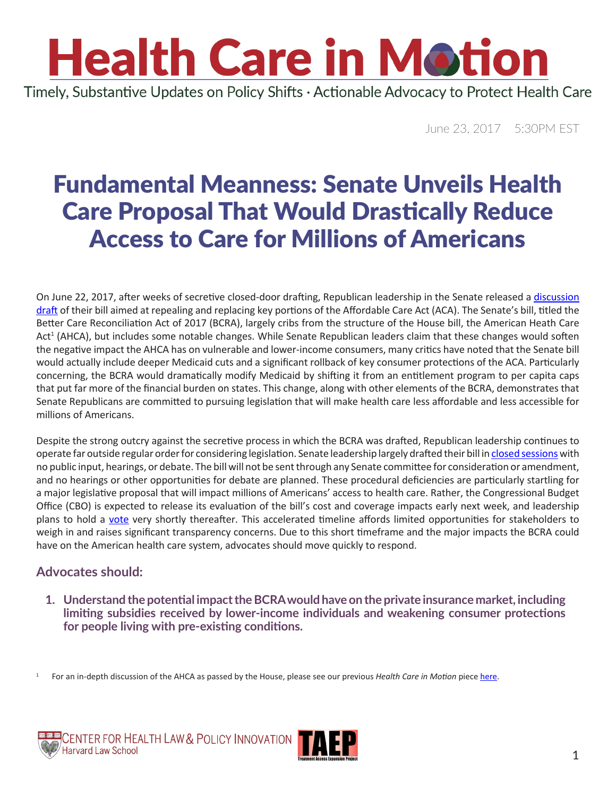### **Health Care in Motion** Timely, Substantive Updates on Policy Shifts · Actionable Advocacy to Protect Health Care

June 23, 2017 5:30PM EST

### Fundamental Meanness: Senate Unveils Health Care Proposal That Would Drastically Reduce Access to Care for Millions of Americans

On June 22, 2017, after weeks of secretive closed-door drafting, Republican leadership in the Senate released a [discussion](https://www.budget.senate.gov/imo/media/doc/SENATEHEALTHCARE.pdf) [draft](https://www.budget.senate.gov/imo/media/doc/SENATEHEALTHCARE.pdf) of their bill aimed at repealing and replacing key portions of the Affordable Care Act (ACA). The Senate's bill, titled the Better Care Reconciliation Act of 2017 (BCRA), largely cribs from the structure of the House bill, the American Heath Care Act<sup>1</sup> (AHCA), but includes some notable changes. While Senate Republican leaders claim that these changes would soften the negative impact the AHCA has on vulnerable and lower-income consumers, many critics have noted that the Senate bill would actually include deeper Medicaid cuts and a significant rollback of key consumer protections of the ACA. Particularly concerning, the BCRA would dramatically modify Medicaid by shifting it from an entitlement program to per capita caps that put far more of the financial burden on states. This change, along with other elements of the BCRA, demonstrates that Senate Republicans are committed to pursuing legislation that will make health care less affordable and less accessible for millions of Americans.

Despite the strong outcry against the secretive process in which the BCRA was drafted, Republican leadership continues to operate far outside regular order for considering legislation. Senate leadership largely drafted their bill in [closed sessions](https://www.vox.com/2017/6/22/15852502/murkowski-health-bill-lobbyist-secret) with no public input, hearings, or debate. The bill will not be sent through any Senate committee for consideration or amendment, and no hearings or other opportunities for debate are planned. These procedural deficiencies are particularly startling for a major legislative proposal that will impact millions of Americans' access to health care. Rather, the Congressional Budget Office (CBO) is expected to release its evaluation of the bill's cost and coverage impacts early next week, and leadership plans to hold a [vote](http://www.cnn.com/2017/06/20/politics/senate-republican-health-care-bill-vote/index.html) very shortly thereafter. This accelerated timeline affords limited opportunities for stakeholders to weigh in and raises significant transparency concerns. Due to this short timeframe and the major impacts the BCRA could have on the American health care system, advocates should move quickly to respond.

#### **Advocates should:**

**1. Understand the potential impact the BCRA would have on the private insurance market, including limiting subsidies received by lower-income individuals and weakening consumer protections for people living with pre-existing conditions.** 

1 For an in-depth discussion of the AHCA as passed by the House, please see our previous *Health Care in Motion* piece [here](http://www.chlpi.org/wp-content/uploads/2013/12/HCIM_05_05_2017.pdf).



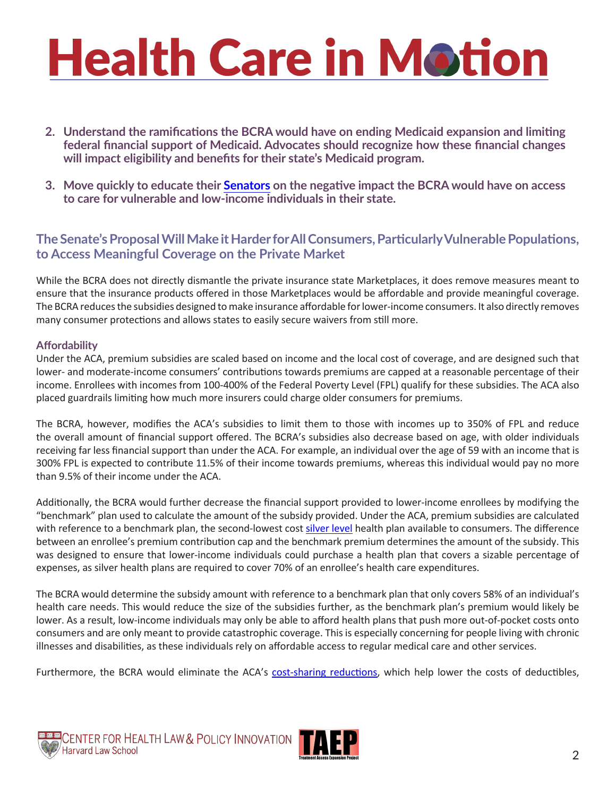- **2. Understand the ramifications the BCRA would have on ending Medicaid expansion and limiting federal financial support of Medicaid. Advocates should recognize how these financial changes will impact eligibility and benefits for their state's Medicaid program.**
- **3. Move quickly to educate their [Senators](https://www.senate.gov/senators/contact/) on the negative impact the BCRA would have on access to care for vulnerable and low-income individuals in their state.**

#### **The Senate's Proposal Will Make it Harder for All Consumers, Particularly Vulnerable Populations, to Access Meaningful Coverage on the Private Market**

While the BCRA does not directly dismantle the private insurance state Marketplaces, it does remove measures meant to ensure that the insurance products offered in those Marketplaces would be affordable and provide meaningful coverage. The BCRA reduces the subsidies designed to make insurance affordable for lower-income consumers. It also directly removes many consumer protections and allows states to easily secure waivers from still more.

#### **Affordability**

Under the ACA, premium subsidies are scaled based on income and the local cost of coverage, and are designed such that lower- and moderate-income consumers' contributions towards premiums are capped at a reasonable percentage of their income. Enrollees with incomes from 100-400% of the Federal Poverty Level (FPL) qualify for these subsidies. The ACA also placed guardrails limiting how much more insurers could charge older consumers for premiums.

The BCRA, however, modifies the ACA's subsidies to limit them to those with incomes up to 350% of FPL and reduce the overall amount of financial support offered. The BCRA's subsidies also decrease based on age, with older individuals receiving far less financial support than under the ACA. For example, an individual over the age of 59 with an income that is 300% FPL is expected to contribute 11.5% of their income towards premiums, whereas this individual would pay no more than 9.5% of their income under the ACA.

Additionally, the BCRA would further decrease the financial support provided to lower-income enrollees by modifying the "benchmark" plan used to calculate the amount of the subsidy provided. Under the ACA, premium subsidies are calculated with reference to a benchmark plan, the second-lowest cost [silver level](https://www.healthcare.gov/glossary/silver-health-plan/) health plan available to consumers. The difference between an enrollee's premium contribution cap and the benchmark premium determines the amount of the subsidy. This was designed to ensure that lower-income individuals could purchase a health plan that covers a sizable percentage of expenses, as silver health plans are required to cover 70% of an enrollee's health care expenditures.

The BCRA would determine the subsidy amount with reference to a benchmark plan that only covers 58% of an individual's health care needs. This would reduce the size of the subsidies further, as the benchmark plan's premium would likely be lower. As a result, low-income individuals may only be able to afford health plans that push more out-of-pocket costs onto consumers and are only meant to provide catastrophic coverage. This is especially concerning for people living with chronic illnesses and disabilities, as these individuals rely on affordable access to regular medical care and other services.

Furthermore, the BCRA would eliminate the ACA's [cost-sharing reductions](https://www.healthcare.gov/glossary/cost-sharing-reduction/), which help lower the costs of deductibles,



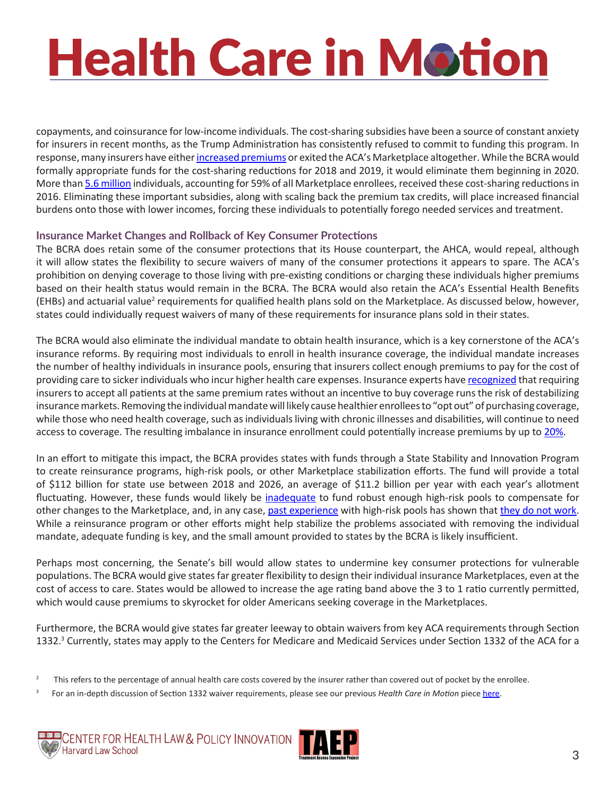copayments, and coinsurance for low-income individuals. The cost-sharing subsidies have been a source of constant anxiety for insurers in recent months, as the Trump Administration has consistently refused to commit to funding this program. In response, many insurers have either [increased premiums](http://chirblog.org/we-read-actuarial-memoranda-so-you-dont-have-to/) or exited the ACA's Marketplace altogether. While the BCRA would formally appropriate funds for the cost-sharing reductions for 2018 and 2019, it would eliminate them beginning in 2020. More than [5.6 million](http://www.cbpp.org/blog/interactive-map-cost-sharing-subsidies-at-risk-under-house-gop-health-bill) individuals, accounting for 59% of all Marketplace enrollees, received these cost-sharing reductions in 2016. Eliminating these important subsidies, along with scaling back the premium tax credits, will place increased financial burdens onto those with lower incomes, forcing these individuals to potentially forego needed services and treatment.

#### **Insurance Market Changes and Rollback of Key Consumer Protections**

The BCRA does retain some of the consumer protections that its House counterpart, the AHCA, would repeal, although it will allow states the flexibility to secure waivers of many of the consumer protections it appears to spare. The ACA's prohibition on denying coverage to those living with pre-existing conditions or charging these individuals higher premiums based on their health status would remain in the BCRA. The BCRA would also retain the ACA's Essential Health Benefits (EHBs) and actuarial value<sup>2</sup> requirements for qualified health plans sold on the Marketplace. As discussed below, however, states could individually request waivers of many of these requirements for insurance plans sold in their states.

The BCRA would also eliminate the individual mandate to obtain health insurance, which is a key cornerstone of the ACA's insurance reforms. By requiring most individuals to enroll in health insurance coverage, the individual mandate increases the number of healthy individuals in insurance pools, ensuring that insurers collect enough premiums to pay for the cost of providing care to sicker individuals who incur higher health care expenses. Insurance experts have [recognized](http://healthaffairs.org/blog/2016/03/15/dont-let-the-talking-points-fool-you-its-all-about-the-risk-pool/) that requiring insurers to accept all patients at the same premium rates without an incentive to buy coverage runs the risk of destabilizing insurance markets. Removing the individual mandate will likely cause healthier enrollees to "opt out" of purchasing coverage, while those who need health coverage, such as individuals living with chronic illnesses and disabilities, will continue to need access to coverage. The resulting imbalance in insurance enrollment could potentially increase premiums by up to [20%.](https://tcf.org/content/commentary/heart-comparison-house-senate-health-bills/?utm_source=TCF+Email+Updates&utm_campaign=61c8f91914-EMAIL_CAMPAIGN_2017_06_12&utm_medium=email&utm_term=0_e5457eab21-61c8f91914-92598021)

In an effort to mitigate this impact, the BCRA provides states with funds through a State Stability and Innovation Program to create reinsurance programs, high-risk pools, or other Marketplace stabilization efforts. The fund will provide a total of \$112 billion for state use between 2018 and 2026, an average of \$11.2 billion per year with each year's allotment fluctuating. However, these funds would likely be [inadequate](https://www.americanprogress.org/issues/healthcare/news/2017/05/02/431698/house-health-care-plan-not-enough-keep-high-risk-pools-afloat/) to fund robust enough high-risk pools to compensate for other changes to the Marketplace, and, in any case, [past experience](http://www.kff.org/health-reform/issue-brief/high-risk-pools-for-uninsurable-individuals/) with high-risk pools has shown that [they do not work](http://www.commonwealthfund.org/~/media/files/publications/issue-brief/2014/dec/1792_hall_highrisk_pools.pdf). While a reinsurance program or other efforts might help stabilize the problems associated with removing the individual mandate, adequate funding is key, and the small amount provided to states by the BCRA is likely insufficient.

Perhaps most concerning, the Senate's bill would allow states to undermine key consumer protections for vulnerable populations. The BCRA would give states far greater flexibility to design their individual insurance Marketplaces, even at the cost of access to care. States would be allowed to increase the age rating band above the 3 to 1 ratio currently permitted, which would cause premiums to skyrocket for older Americans seeking coverage in the Marketplaces.

Furthermore, the BCRA would give states far greater leeway to obtain waivers from key ACA requirements through Section 1332.<sup>3</sup> Currently, states may apply to the Centers for Medicare and Medicaid Services under Section 1332 of the ACA for a

<sup>3</sup> For an in-depth discussion of Section 1332 waiver requirements, please see our previous Health Care in Motion piece [here.](http://www.chlpi.org/wp-content/uploads/2013/12/HCIM_06_19_2017.pdf)





<sup>&</sup>lt;sup>2</sup> This refers to the percentage of annual health care costs covered by the insurer rather than covered out of pocket by the enrollee.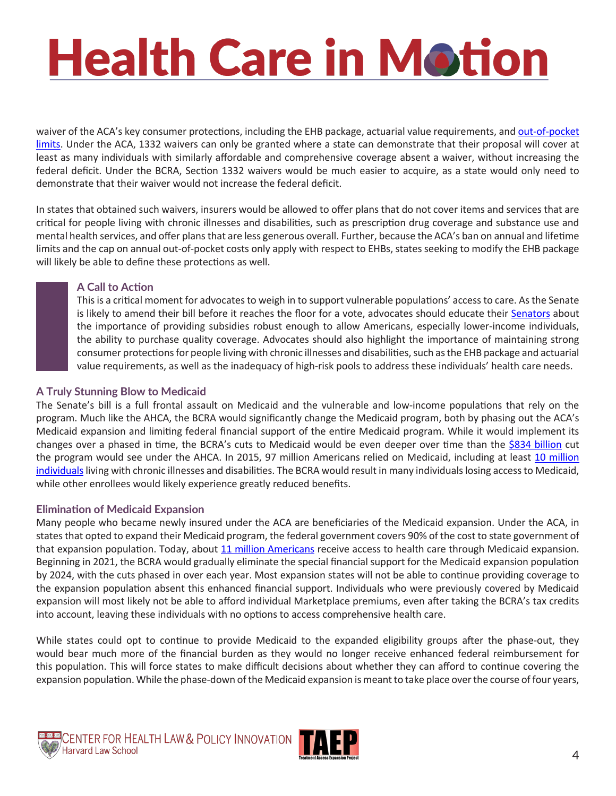waiver of the ACA's key consumer protections, including the EHB package, actuarial value requirements, and out-of-pocket [limits](https://www.healthcare.gov/glossary/out-of-pocket-maximum-limit/). Under the ACA, 1332 waivers can only be granted where a state can demonstrate that their proposal will cover at least as many individuals with similarly affordable and comprehensive coverage absent a waiver, without increasing the federal deficit. Under the BCRA, Section 1332 waivers would be much easier to acquire, as a state would only need to demonstrate that their waiver would not increase the federal deficit.

In states that obtained such waivers, insurers would be allowed to offer plans that do not cover items and services that are critical for people living with chronic illnesses and disabilities, such as prescription drug coverage and substance use and mental health services, and offer plans that are less generous overall. Further, because the ACA's ban on annual and lifetime limits and the cap on annual out-of-pocket costs only apply with respect to EHBs, states seeking to modify the EHB package will likely be able to define these protections as well.

#### **A Call to Action**

This is a critical moment for advocates to weigh in to support vulnerable populations' access to care. As the Senate is likely to amend their bill before it reaches the floor for a vote, advocates should educate their [Senators](https://www.senate.gov/senators/contact/) about the importance of providing subsidies robust enough to allow Americans, especially lower-income individuals, the ability to purchase quality coverage. Advocates should also highlight the importance of maintaining strong consumer protections for people living with chronic illnesses and disabilities, such as the EHB package and actuarial value requirements, as well as the inadequacy of high-risk pools to address these individuals' health care needs.

#### **A Truly Stunning Blow to Medicaid**

The Senate's bill is a full frontal assault on Medicaid and the vulnerable and low-income populations that rely on the program. Much like the AHCA, the BCRA would significantly change the Medicaid program, both by phasing out the ACA's Medicaid expansion and limiting federal financial support of the entire Medicaid program. While it would implement its changes over a phased in time, the BCRA's cuts to Medicaid would be even deeper over time than the [\\$834 billion](https://www.cbo.gov/system/files/115th-congress-2017-2018/costestimate/hr1628aspassed.pdf) cut the program would see under the AHCA. In 2015, 97 million Americans relied on Medicaid, including at least 10 million [individuals](http://www.cbpp.org/research/health/policy-basics-introduction-to-medicaid) living with chronic illnesses and disabilities. The BCRA would result in many individuals losing access to Medicaid, while other enrollees would likely experience greatly reduced benefits.

#### **Elimination of Medicaid Expansion**

Many people who became newly insured under the ACA are beneficiaries of the Medicaid expansion. Under the ACA, in states that opted to expand their Medicaid program, the federal government covers 90% of the cost to state government of that expansion population. Today, about [11 million Americans](http://www.cbpp.org/research/health/house-republican-proposals-to-radically-overhaul-medicaid-would-shift-costs-risks-to) receive access to health care through Medicaid expansion. Beginning in 2021, the BCRA would gradually eliminate the special financial support for the Medicaid expansion population by 2024, with the cuts phased in over each year. Most expansion states will not be able to continue providing coverage to the expansion population absent this enhanced financial support. Individuals who were previously covered by Medicaid expansion will most likely not be able to afford individual Marketplace premiums, even after taking the BCRA's tax credits into account, leaving these individuals with no options to access comprehensive health care.

While states could opt to continue to provide Medicaid to the expanded eligibility groups after the phase-out, they would bear much more of the financial burden as they would no longer receive enhanced federal reimbursement for this population. This will force states to make difficult decisions about whether they can afford to continue covering the expansion population. While the phase-down of the Medicaid expansion is meant to take place over the course of four years,



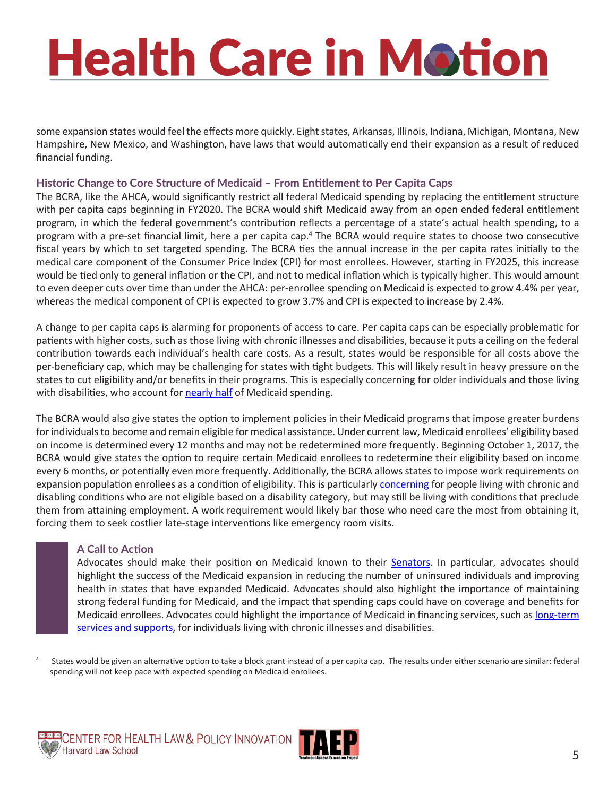some expansion states would feel the effects more quickly. Eight states, Arkansas, Illinois, Indiana, Michigan, Montana, New Hampshire, New Mexico, and Washington, have laws that would automatically end their expansion as a result of reduced financial funding.

#### **Historic Change to Core Structure of Medicaid – From Entitlement to Per Capita Caps**

The BCRA, like the AHCA, would significantly restrict all federal Medicaid spending by replacing the entitlement structure with per capita caps beginning in FY2020. The BCRA would shift Medicaid away from an open ended federal entitlement program, in which the federal government's contribution reflects a percentage of a state's actual health spending, to a program with a pre-set financial limit, here a per capita cap.<sup>4</sup> The BCRA would require states to choose two consecutive fiscal years by which to set targeted spending. The BCRA ties the annual increase in the per capita rates initially to the medical care component of the Consumer Price Index (CPI) for most enrollees. However, starting in FY2025, this increase would be tied only to general inflation or the CPI, and not to medical inflation which is typically higher. This would amount to even deeper cuts over time than under the AHCA: per-enrollee spending on Medicaid is expected to grow 4.4% per year, whereas the medical component of CPI is expected to grow 3.7% and CPI is expected to increase by 2.4%.

A change to per capita caps is alarming for proponents of access to care. Per capita caps can be especially problematic for patients with higher costs, such as those living with chronic illnesses and disabilities, because it puts a ceiling on the federal contribution towards each individual's health care costs. As a result, states would be responsible for all costs above the per-beneficiary cap, which may be challenging for states with tight budgets. This will likely result in heavy pressure on the states to cut eligibility and/or benefits in their programs. This is especially concerning for older individuals and those living with disabilities, who account for [nearly half](http://www.cbpp.org/research/health/house-republican-proposals-to-radically-overhaul-medicaid-would-shift-costs-risks-to) of Medicaid spending.

The BCRA would also give states the option to implement policies in their Medicaid programs that impose greater burdens for individuals to become and remain eligible for medical assistance. Under current law, Medicaid enrollees' eligibility based on income is determined every 12 months and may not be redetermined more frequently. Beginning October 1, 2017, the BCRA would give states the option to require certain Medicaid enrollees to redetermine their eligibility based on income every 6 months, or potentially even more frequently. Additionally, the BCRA allows states to impose work requirements on expansion population enrollees as a condition of eligibility. This is particularly [concerning](http://www.healthlaw.org/publications/browse-all-publications/medicaid-work-requirements-not-a-healthy-choice#.WNFssBIrIUE) for people living with chronic and disabling conditions who are not eligible based on a disability category, but may still be living with conditions that preclude them from attaining employment. A work requirement would likely bar those who need care the most from obtaining it, forcing them to seek costlier late-stage interventions like emergency room visits.

#### **A Call to Action**

Advocates should make their position on Medicaid known to their [Senators.](https://www.senate.gov/senators/contact/) In particular, advocates should highlight the success of the Medicaid expansion in reducing the number of uninsured individuals and improving health in states that have expanded Medicaid. Advocates should also highlight the importance of maintaining strong federal funding for Medicaid, and the impact that spending caps could have on coverage and benefits for Medicaid enrollees. Advocates could highlight the importance of Medicaid in financing services, such as [long-term](http://www.kff.org/health-reform/issue-brief/the-affordable-care-acts-impact-on-medicaid-eligibility-enrollment-and-benefits-for-people-with-disabilities/)  [services and supports,](http://www.kff.org/health-reform/issue-brief/the-affordable-care-acts-impact-on-medicaid-eligibility-enrollment-and-benefits-for-people-with-disabilities/) for individuals living with chronic illnesses and disabilities.

States would be given an alternative option to take a block grant instead of a per capita cap. The results under either scenario are similar: federal spending will not keep pace with expected spending on Medicaid enrollees.